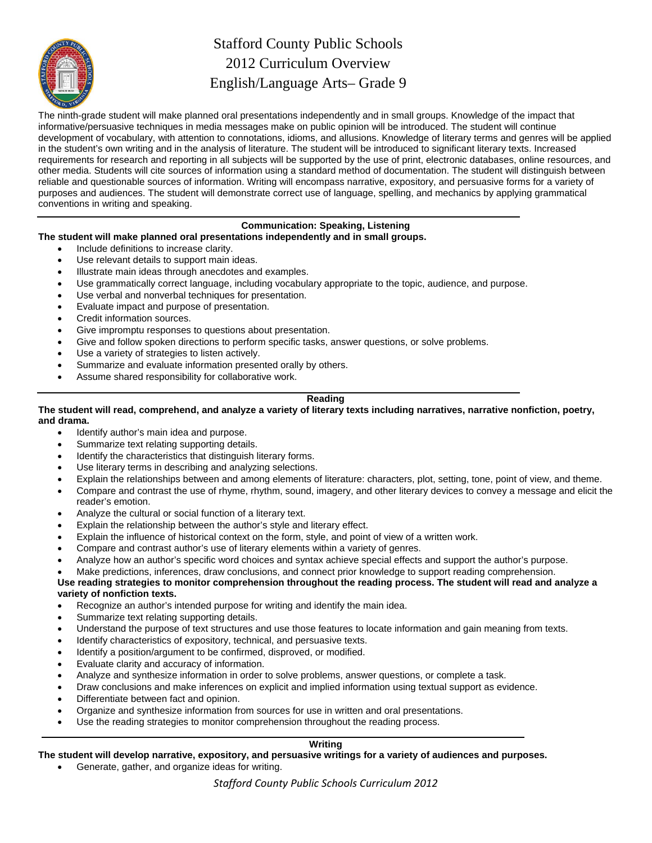

# Stafford County Public Schools 2012 Curriculum Overview English/Language Arts– Grade 9

The ninth-grade student will make planned oral presentations independently and in small groups. Knowledge of the impact that informative/persuasive techniques in media messages make on public opinion will be introduced. The student will continue development of vocabulary, with attention to connotations, idioms, and allusions. Knowledge of literary terms and genres will be applied in the student's own writing and in the analysis of literature. The student will be introduced to significant literary texts. Increased requirements for research and reporting in all subjects will be supported by the use of print, electronic databases, online resources, and other media. Students will cite sources of information using a standard method of documentation. The student will distinguish between reliable and questionable sources of information. Writing will encompass narrative, expository, and persuasive forms for a variety of purposes and audiences. The student will demonstrate correct use of language, spelling, and mechanics by applying grammatical conventions in writing and speaking.

# **Communication: Speaking, Listening**

#### **The student will make planned oral presentations independently and in small groups.**

- Include definitions to increase clarity.
- Use relevant details to support main ideas.
- Illustrate main ideas through anecdotes and examples.
- Use grammatically correct language, including vocabulary appropriate to the topic, audience, and purpose.
- Use verbal and nonverbal techniques for presentation.
- Evaluate impact and purpose of presentation.
- Credit information sources.
- Give impromptu responses to questions about presentation.
- Give and follow spoken directions to perform specific tasks, answer questions, or solve problems.
- Use a variety of strategies to listen actively.
- Summarize and evaluate information presented orally by others.
- Assume shared responsibility for collaborative work.

#### **Reading**

#### **The student will read, comprehend, and analyze a variety of literary texts including narratives, narrative nonfiction, poetry, and drama.**

- Identify author's main idea and purpose.
- Summarize text relating supporting details.
- Identify the characteristics that distinguish literary forms.
- Use literary terms in describing and analyzing selections.
- Explain the relationships between and among elements of literature: characters, plot, setting, tone, point of view, and theme.
- Compare and contrast the use of rhyme, rhythm, sound, imagery, and other literary devices to convey a message and elicit the reader's emotion.
- Analyze the cultural or social function of a literary text.
- Explain the relationship between the author's style and literary effect.
- Explain the influence of historical context on the form, style, and point of view of a written work.
- Compare and contrast author's use of literary elements within a variety of genres.
- Analyze how an author's specific word choices and syntax achieve special effects and support the author's purpose.
- Make predictions, inferences, draw conclusions, and connect prior knowledge to support reading comprehension.

#### **Use reading strategies to monitor comprehension throughout the reading process. The student will read and analyze a variety of nonfiction texts.**

- Recognize an author's intended purpose for writing and identify the main idea.
- Summarize text relating supporting details.
- Understand the purpose of text structures and use those features to locate information and gain meaning from texts.
- Identify characteristics of expository, technical, and persuasive texts.
- Identify a position/argument to be confirmed, disproved, or modified.
- Evaluate clarity and accuracy of information.
- Analyze and synthesize information in order to solve problems, answer questions, or complete a task.
- Draw conclusions and make inferences on explicit and implied information using textual support as evidence.
- Differentiate between fact and opinion.
- Organize and synthesize information from sources for use in written and oral presentations.
- Use the reading strategies to monitor comprehension throughout the reading process.

# **Writing**

**The student will develop narrative, expository, and persuasive writings for a variety of audiences and purposes.** 

Generate, gather, and organize ideas for writing.

*Stafford County Public Schools Curriculum 2012*